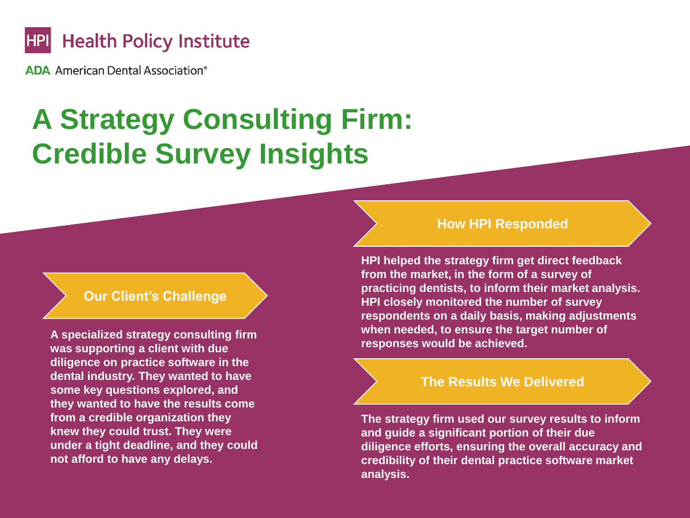

**ADA** American Dental Association<sup>®</sup>

# **A Strategy Consulting Firm: Credible Survey Insights**

## **Our Client's Challenge**

**A specialized strategy consulting firm was supporting a client with due diligence on practice software in the dental industry. They wanted to have some key questions explored, and they wanted to have the results come from a credible organization they knew they could trust. They were under a tight deadline, and they could not afford to have any delays.**

### **How HPI Responded**

**HPI helped the strategy firm get direct feedback from the market, in the form of a survey of practicing dentists, to inform their market analysis. HPI closely monitored the number of survey respondents on a daily basis, making adjustments when needed, to ensure the target number of responses would be achieved.**

### **The Results We Delivered**

**The strategy firm used our survey results to inform and guide a significant portion of their due diligence efforts, ensuring the overall accuracy and credibility of their dental practice software market analysis.**